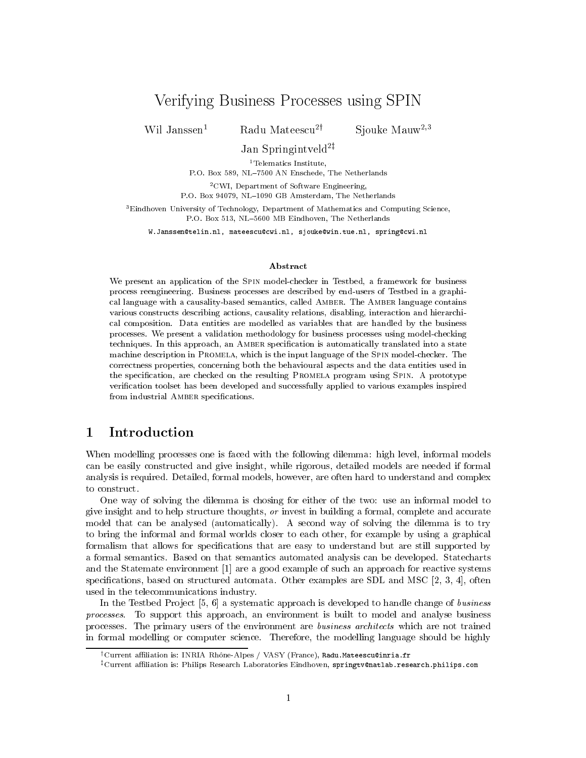# Verification Business Processes using SPINES III in the SPINESE USINESS USING SPINESE USINESS IN THE SPINESE O

Wil Janssen<sup>1</sup> Radu Mateescu<sup>2†</sup>

Siouke  $M$ auw<sup>2,3</sup>

Jan Springintveld2z

<sup>1</sup>Telematics Institute,

P.O. Box 589, NL{7500 AN Enschede, The Netherlands

2CWI, Department of Software Engineering, P.O. Box 94079, NL{1090 GB Amsterdam, The Netherlands

3Eindhoven University of Technology, Department of Mathematics and Computing Science, P.O. Box 513, NL-5600 MB Eindhoven, The Netherlands

 $W \sim 2$  . The set of the set of the state and the state  $\alpha$  is the state of the spring  $\alpha$  . The state of the state of the state of the state of the state of the state of the state of the state of the state of the state

### Abstract

We present an application of the SPIN model-checker in Testbed, a framework for business process reengineering. Business processes are described by end-users of Testbed in a graphical language with a causality-based semantics, called Amber. The Amber language contains various constructs describing actions, causality relations, disabling, interaction and hierarchical composition. Data entities are modelled as variables that are handled by the business processes. We present a validation methodology for business processes using model-checking techniques. In this approach, an Amber specication is automatically translated into a state machine description in Promela, which is the input language of the Spin model-checker. The correctness properties, concerning both the behavioural aspects and the data entities used in the specication, are checked on the resulting Promela program using Spin. A prototype verification toolset has been developed and successfully applied to various examples inspired from industrial AMBER specifications.

### $\mathbf{1}$ Introduction

When modelling processes one is faced with the following dilemma: high level, informal models can be easily constructed and give insight, while rigorous, detailed models are needed if formal analysis is required. Detailed, formal models, however, are often hard to understand and complex to construct.

One way of solving the dilemma is chosing for either of the two: use an informal model to give insight and to help structure thoughts, or invest in building a formal, complete and accurate model that can be analysed (automatically). A second way of solving the dilemma is to try to bring the informal and formal worlds closer to each other, for example by using a graphical formalism that allows for specications that are easy to understand but are still supported by a formal semantics. Based on that semantics automated analysis can be developed. Statecharts and the Statemate environment [1] are a good example of such an approach for reactive systems specifications, based on structured automata. Other examples are SDL and MSC  $[2, 3, 4]$ , often used in the telecommunications industry.

In the Testbed Project  $[5, 6]$  a systematic approach is developed to handle change of business processes. To support this approach, an environment is built to model and analyse business processes. The primary users of the environment are business architects which are not trained in formal modelling or computer science. Therefore, the modelling language should be highly

 $^\dagger$ Current affiliation is: INRIA Rhône-Alpes / VASY (France), Radu.Mateescu@inria.fr

<sup>&</sup>lt;sup>‡</sup>Current affiliation is: Philips Research Laboratories Eindhoven, springtv@natlab.research.philips.com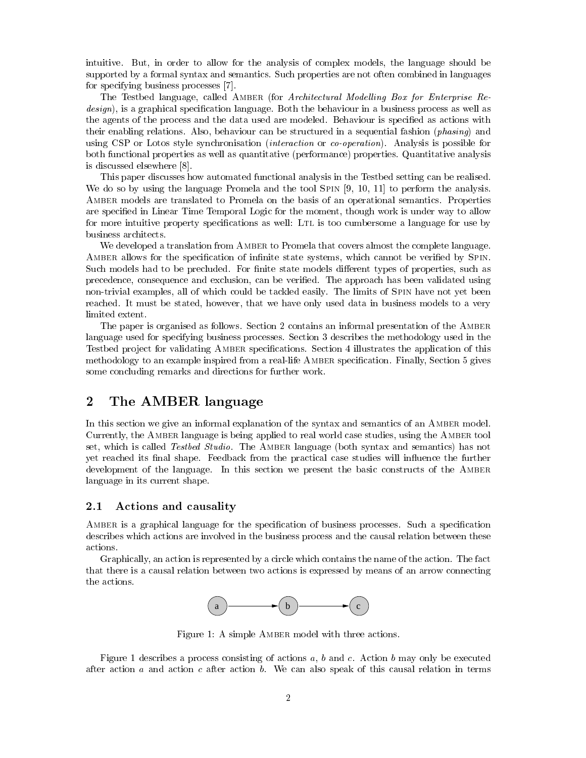intuitive. But, in order to allow for the analysis of complex models, the language should be supported by a formal syntax and semantics. Such properties are not often combined in languages for specifying business processes [7].

The Testbed language, called AMBER (for Architectural Modelling Box for Enterprise Re $design$ , is a graphical specification language. Both the behaviour in a business process as well as the agents of the process and the data used are modeled. Behaviour is specified as actions with their enabling relations. Also, behaviour can be structured in a sequential fashion (*phasing*) and using CSP or Lotos style synchronisation *(interaction* or *co-operation)*. Analysis is possible for both functional properties as well as quantitative (performance) properties. Quantitative analysis is discussed elsewhere [8].

This paper discusses how automated functional analysis in the Testbed setting can be realised. We do so by using the language Promela and the tool SPIN [9, 10, 11] to perform the analysis. Amber models are translated to Promela on the basis of an operational semantics. Properties are specified in Linear Time Temporal Logic for the moment, though work is under way to allow for more intuitive property specifications as well: LTL is too cumbersome a language for use by business architects.

We developed a translation from AMBER to Promela that covers almost the complete language. AMBER allows for the specification of infinite state systems, which cannot be verified by SPIN. Such models had to be precluded. For finite state models different types of properties, such as precedence, consequence and exclusion, can be veried. The approach has been validated using non-trivial examples, all of which could be tackled easily. The limits of Spin have not yet been reached. It must be stated, however, that we have only used data in business models to a very limited extent.

The paper is organised as follows. Section 2 contains an informal presentation of the Amber language used for specifying business processes. Section 3 describes the methodology used in the Testbed project for validating AMBER specifications. Section 4 illustrates the application of this methodology to an example inspired from a real-life Amber specication. Finally, Section 5 gives some concluding remarks and directions for further work.

# 2 The AMBER language

In this section we give an informal explanation of the syntax and semantics of an Amber model. Currently, the AMBER language is being applied to real world case studies, using the AMBER tool set, which is called *Testbed Studio*. The AMBER language (both syntax and semantics) has not yet reached its final shape. Feedback from the practical case studies will influence the further development of the language. In this section we present the basic constructs of the Amber language in its current shape.

### 2.1 Actions and causality

AMBER is a graphical language for the specification of business processes. Such a specification describes which actions are involved in the business process and the causal relation between these actions.

Graphically, an action is represented by a circle which contains the name of the action. The fact that there is a causal relation between two actions is expressed by means of an arrow connecting the actions.



Figure 1: A simple AMBER model with three actions.

Figure 1 describes a process consisting of actions  $a, b$  and  $c$ . Action  $b$  may only be executed after action a and action c after action b. We can also speak of this causal relation in terms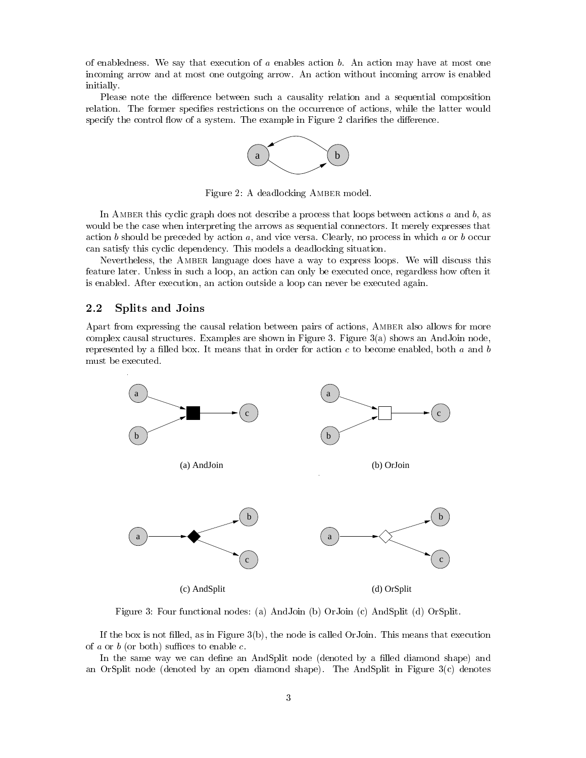of enabledness. We say that execution of a enables action  $b$ . An action may have at most one incoming arrow and at most one outgoing arrow. An action without incoming arrow is enabled initially.

Please note the difference between such a causality relation and a sequential composition relation. The former specifies restrictions on the occurrence of actions, while the latter would specify the control flow of a system. The example in Figure 2 clarifies the difference.



Figure 2: A deadlocking Amber model.

In AMBER this cyclic graph does not describe a process that loops between actions a and  $b$ , as would be the case when interpreting the arrows as sequential connectors. It merely expresses that action  $b$  should be preceded by action  $a$ , and vice versa. Clearly, no process in which  $a$  or  $b$  occur can satisfy this cyclic dependency. This models a deadlocking situation.

Nevertheless, the Amber language does have a way to express loops. We will discuss this feature later. Unless in such a loop, an action can only be executed once, regardless how often it is enabled. After execution, an action outside a loop can never be executed again.

### 2.2 Splits and Joins

Apart from expressing the causal relation between pairs of actions, AMBER also allows for more complex causal structures. Examples are shown in Figure 3. Figure 3(a) shows an AndJoin node, represented by a filled box. It means that in order for action  $c$  to become enabled, both  $a$  and  $b$ must be executed.



Figure 3: Four functional nodes: (a) AndJoin (b) OrJoin (c) AndSplit (d) OrSplit.

If the box is not filled, as in Figure  $3(b)$ , the node is called OrJoin. This means that execution of a or b (or both) suffices to enable c.

In the same way we can define an AndSplit node (denoted by a filled diamond shape) and an OrSplit node (denoted by an open diamond shape). The AndSplit in Figure  $3(c)$  denotes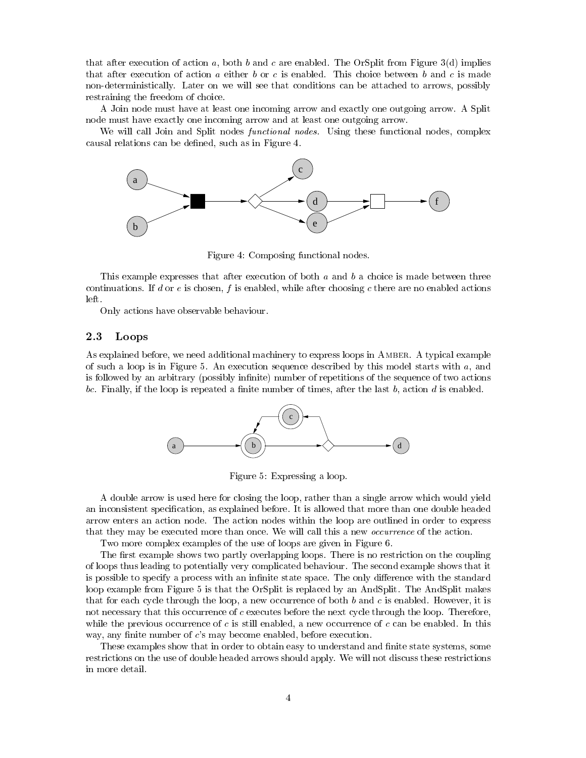that after execution of action a, both b and c are enabled. The OrSplit from Figure 3(d) implies that after execution of action  $a$  either  $b$  or  $c$  is enabled. This choice between  $b$  and  $c$  is made non-deterministically. Later on we will see that conditions can be attached to arrows, possibly restraining the freedom of choice.

A Join node must have at least one incoming arrow and exactly one outgoing arrow. A Split node must have exactly one incoming arrow and at least one outgoing arrow.

We will call Join and Split nodes *functional nodes*. Using these functional nodes, complex causal relations can be dened, such as in Figure 4.



Figure 4: Composing functional nodes.

This example expresses that after execution of both  $a$  and  $b$  a choice is made between three continuations. If d or  $e$  is chosen,  $f$  is enabled, while after choosing  $c$  there are no enabled actions left.

Only actions have observable behaviour.

### 2.3 Loops

As explained before, we need additional machinery to express loops in Amber. A typical example of such a loop is in Figure 5. An execution sequence described by this model starts with  $a$ , and is followed by an arbitrary (possibly infinite) number of repetitions of the sequence of two actions bc. Finally, if the loop is repeated a finite number of times, after the last  $b$ , action  $d$  is enabled.



Figure 5: Expressing a loop.

A double arrow is used here for closing the loop, rather than a single arrow which would yield an inconsistent specification, as explained before. It is allowed that more than one double headed arrow enters an action node. The action nodes within the loop are outlined in order to express that they may be executed more than once. We will call this a new *occurrence* of the action.

Two more complex examples of the use of loops are given in Figure 6.

The first example shows two partly overlapping loops. There is no restriction on the coupling of loops thus leading to potentially very complicated behaviour. The second example shows that it is possible to specify a process with an infinite state space. The only difference with the standard loop example from Figure 5 is that the OrSplit is replaced by an AndSplit. The AndSplit makes that for each cycle through the loop, a new occurrence of both b and c is enabled. However, it is not necessary that this occurrence of c executes before the next cycle through the loop. Therefore, while the previous occurrence of c is still enabled, a new occurrence of c can be enabled. In this way, any finite number of  $c$ 's may become enabled, before execution.

These examples show that in order to obtain easy to understand and finite state systems, some restrictions on the use of double headed arrows should apply. We will not discuss these restrictions in more detail.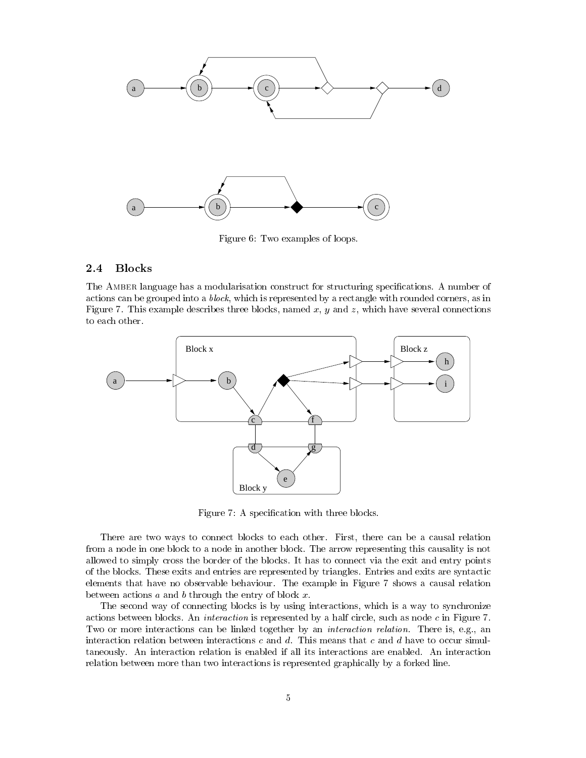

Figure 6: Two examples of loops.

#### $2.4$ **Blocks**

The Amber language has a modularisation construct for structuring specications. A number of actions can be grouped into a *block*, which is represented by a rectangle with rounded corners, as in Figure 7. This example describes three blocks, named  $x, y$  and  $z$ , which have several connections to each other.



Figure 7: A specification with three blocks.

There are two ways to connect blocks to each other. First, there can be a causal relation from a node in one block to a node in another block. The arrow representing this causality is not allowed to simply cross the border of the blocks. It has to connect via the exit and entry points of the blocks. These exits and entries are represented by triangles. Entries and exits are syntactic elements that have no observable behaviour. The example in Figure 7 shows a causal relation between actions  $a$  and  $b$  through the entry of block  $x$ .

The second way of connecting blocks is by using interactions, which is a way to synchronize actions between blocks. An *interaction* is represented by a half circle, such as node  $c$  in Figure 7. Two or more interactions can be linked together by an *interaction relation*. There is, e.g., an interaction relation between interactions  $c$  and  $d$ . This means that  $c$  and  $d$  have to occur simultaneously. An interaction relation isenabled if all its interactions are enabled. An interaction relation between more than two interactions is represented graphically by a forked line.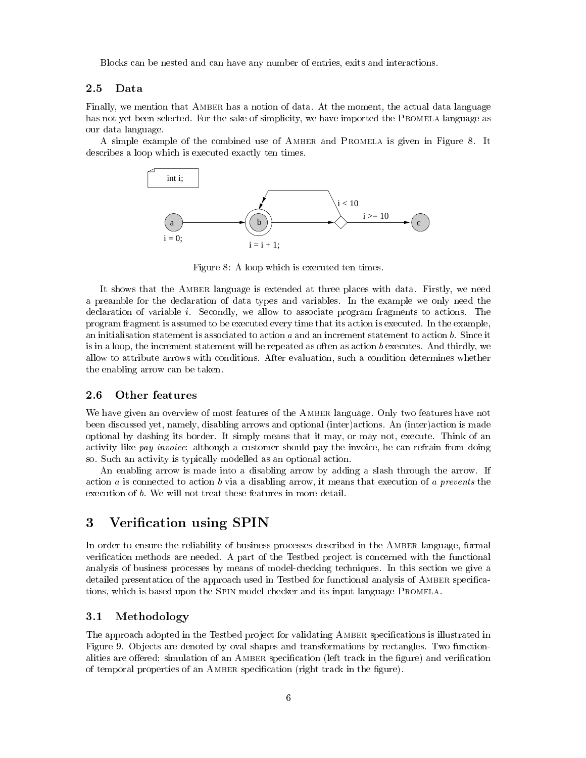Blocks can be nested and can have any number of entries, exits and interactions.

Finally, we mention that AMBER has a notion of data. At the moment, the actual data language has not yet been selected. For the sake of simplicity, we have imported the PROMELA language as our data language.

A simple example of the combined use of Amber and Promela is given in Figure 8.It describes a loop which is executed exactly ten times.



Figure 8: A loop which is executed ten times.

It shows that the Amber language is extended at three places with data. Firstly, we need a preamble for the declaration of data types and variables. In the example we only need the declaration of variable i. Secondly, we allow to associate program fragments to actions. The program fragment is assumed to be executed every time that its action is executed. In the example, an initialisation statement is associated to action  $a$  and an increment statement to action  $b$ . Since it is in a loop, the increment statement will be repeated as often as action <sup>b</sup> executes. And thirdly, we allow to attribute arrows with conditions. After evaluation, such a condition determines whether the enabling arrow can be taken.

### 2.6 Other features

We have given an overview of most features of the AMBER language. Only two features have not been discussed yet, namely, disabling arrows and optional (inter)actions. An (inter)action is made optional by dashing its border. It simply means that it may, or may not, execute. Think of an activity like pay invoice: although a customer should pay the invoice, he can refrain from doing so. Such an activity is typically modelled as an optional action.

An enabling arrow is made into a disabling arrow by adding a slash through the arrow. If action a is connected to action b via a disabling arrow, it means that execution of a prevents the execution of b. We will not treat these features in more detail.

# 3 Verification using SPIN

In order to ensure the reliability of business processes described in the Amber language, formal verification methods are needed. A part of the Testbed project is concerned with the functional analysis of business processes by means of model-checking techniques. In this section we give a detailed presentation of the approach used in Testbed for functional analysis of AMBER specifications, which is based upon the Spin model-checker and its input language Promela.

#### $3.1$ Methodology

The approach adopted in the Testbed project for validating AMBER specifications is illustrated in Figure 9. Objects are denoted by oval shapes and transformations by rectangles. Two functionalities are offered: simulation of an AMBER specification (left track in the figure) and verification of temporal properties of an AMBER specification (right track in the figure).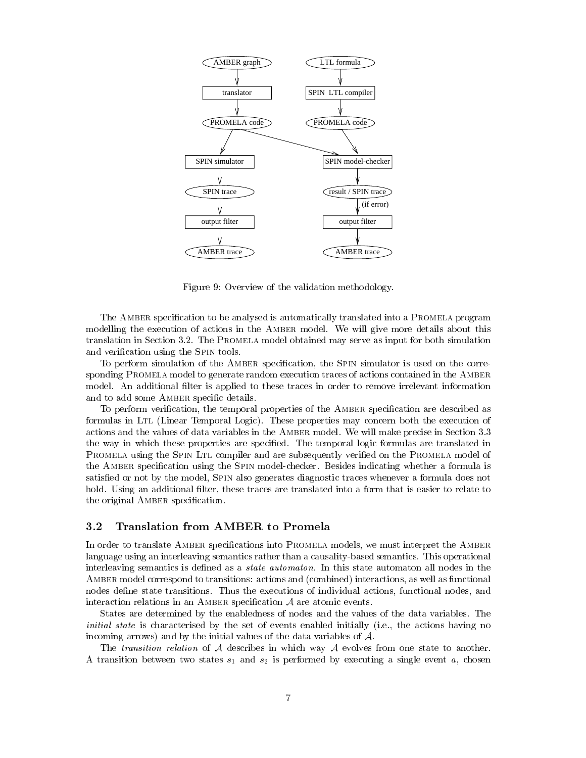

Figure 9: Overview of the validation methodology.

The AMBER specification to be analysed is automatically translated into a PROMELA program modelling the execution of actions in the AMBER model. We will give more details about this translation in Section 3.2. The Promela model obtained may serve as input for both simulation and verification using the SPIN tools.

To perform simulation of the AMBER specification, the SPIN simulator is used on the corresponding PROMELA model to generate random execution traces of actions contained in the AMBER model. An additional filter is applied to these traces in order to remove irrelevant information and to add some AMBER specific details.

To perform verification, the temporal properties of the AMBER specification are described as formulas in Ltl (Linear Temporal Logic). These properties may concern both the execution of actions and the values of data variables in the Amber model. We will make precise in Section 3.3 the way in which these properties are specied. The temporal logic formulas are translated in PROMELA using the SPIN LTL compiler and are subsequently verified on the PROMELA model of the AMBER specification using the SPIN model-checker. Besides indicating whether a formula is satisfied or not by the model, SPIN also generates diagnostic traces whenever a formula does not hold. Using an additional filter, these traces are translated into a form that is easier to relate to the original AMBER specification.

### 3.2 Translation from AMBER to Promela

In order to translate AMBER specifications into PROMELA models, we must interpret the AMBER language using an interleaving semantics rather than a causality-based semantics. This operational interleaving semantics is defined as a *state automaton*. In this state automaton all nodes in the AMBER model correspond to transitions: actions and (combined) interactions, as well as functional nodes define state transitions. Thus the executions of individual actions, functional nodes, and interaction relations in an AMBER specification  $A$  are atomic events.

States are determined by the enabledness of nodes and the values of the data variables. The initial state is characterised by the set of events enabled initially (i.e., the actions having no incoming arrows) and by the initial values of the data variables of A.

The *transition relation* of  $A$  describes in which way  $A$  evolves from one state to another. A transition between two states  $s_1$  and  $s_2$  is performed by executing a single event a, chosen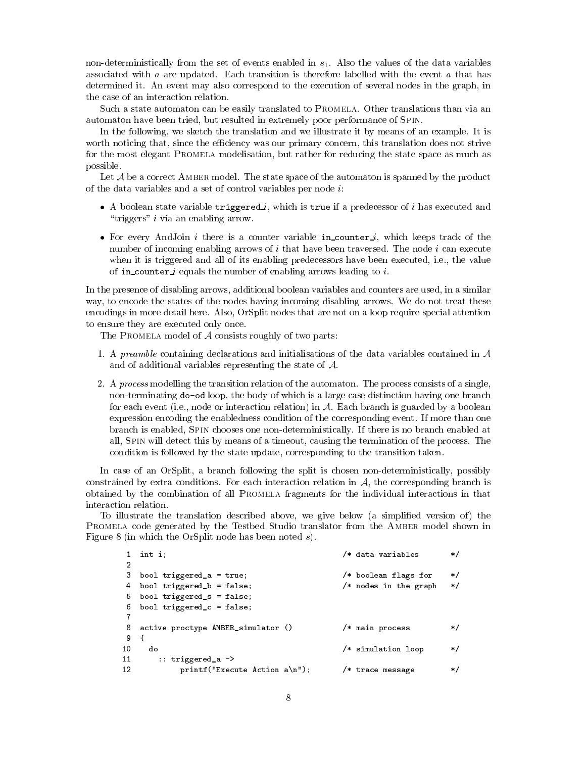non-deterministically from the set of events enabled in  $s<sub>1</sub>$ . Also the values of the data variables associated with  $a$  are updated. Each transition is therefore labelled with the event  $a$  that has determined it. An event may also correspond to the execution of several nodes in the graph, in the case of an interaction relation.

Such a state automaton can be easily translated to PROMELA. Other translations than via an automaton have been tried, but resulted in extremely poor performance of Spin.

In the following, we sketch the translation and we illustrate it by means of an example. It is worth noticing that, since the efficiency was our primary concern, this translation does not strive for the most elegant Promela modelisation, but rather for reducing the state space as much as possible.

Let  $A$  be a correct AMBER model. The state space of the automaton is spanned by the product of the data variables and a set of control variables per node  $i$ :

- $\bullet$  A boolean state variable  $\mathtt{triggered}$ , which is  $\mathtt{true}$  if a predecessor of  $i$  has executed and " $\text{triggers" } i$  via an enabling arrow.
- $\bullet$  for every AndJoin  $i$  there is a counter variable in counter  $i$ , which keeps track of the number of incoming enabling arrows of  $i$  that have been traversed. The node  $i$  can execute when it is triggered and all of its enabling predecessors have been executed, i.e., the value of in counter *i* equals the number of enabling arrows leading to *i*.

In the presence of disabling arrows, additional boolean variables and counters are used, in a similar way, to encode the states of the nodes having incoming disabling arrows. We do not treat these encodings in more detail here. Also, OrSplit nodes that are not on a loop require special attention to ensure they are executed only once.

The PROMELA model of  $A$  consists roughly of two parts:

- 1. A preamble containing declarations and initialisations of the data variables contained in  $\mathcal A$ and of additional variables representing the state of A.
- 2. A process modelling the transition relation of the automaton. The process consists of a single, non-terminating do-od loop, the body of which is a large case distinction having one branch for each event (i.e., node or interaction relation) in  $A$ . Each branch is guarded by a boolean expression encoding the enabledness condition of the corresponding event. If more than one branch is enabled, Spin chooses one non-deterministically. If there is no branch enabled at all, Spin will detect this by means of a timeout, causing the termination of the process. The condition is followed by the state update, corresponding to the transition taken.

In case of an OrSplit, a branch following the split is chosen non-deterministically, possibly constrained by extra conditions. For each interaction relation in  $A$ , the corresponding branch is obtained by the combination of all Promela fragments for the individual interactions in that interaction relation.

To illustrate the translation described above, we give below (a simplified version of) the PROMELA code generated by the Testbed Studio translator from the AMBER model shown in Figure 8 (in which the OrSplit node has been noted s).

|    | $1$ int i;                           | /* data variables     | */          |
|----|--------------------------------------|-----------------------|-------------|
| 2  |                                      |                       |             |
|    | 3 bool triggered_a = $true;$         | /* boolean flags for  | $\ast/$     |
|    | 4 bool triggered_b = false;          | /* nodes in the graph | $\ast/$     |
|    | 5 bool triggered_s = false;          |                       |             |
|    | 6 bool triggered_c = false;          |                       |             |
|    |                                      |                       |             |
|    | 8 active proctype AMBER_simulator () | /* main process       | */          |
| 9  |                                      |                       |             |
| 10 | do                                   | /* simulation loop    | */          |
| 11 | $\therefore$ triggered_a ->          |                       |             |
| 12 | $print('Execute Action a\n'.')$ ;    | /* trace message      | $^{\ast}$ / |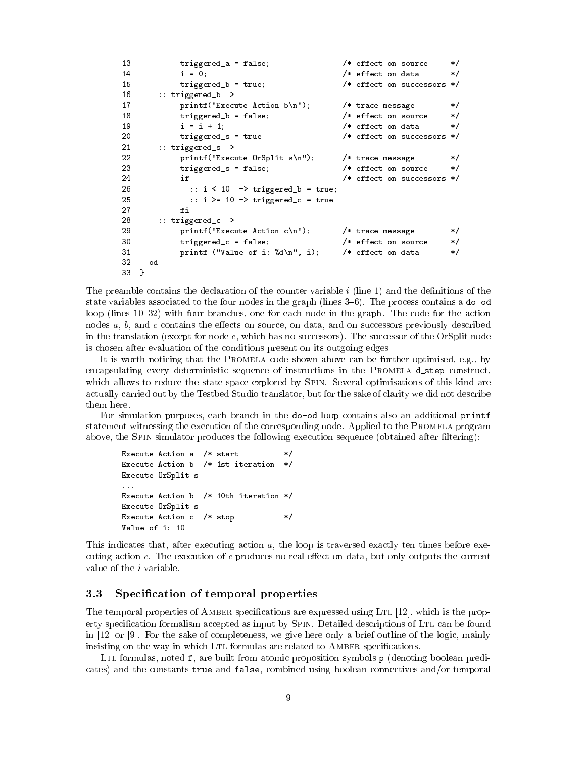```
13 triggered_a = false; \overline{\hspace{1cm}} /* effect on source */
14
          i = 0; /* effect on data
                                                        \ast/triggered_b = true; /* effect on successors */
15
16 :: triggered_b ->
17 printf("Execute Action b\n"); /* trace message
                                                        \ast/18 triggered_b = false; /* effect on source */19 i = i + 1; /* effect on data\ast/20triggered_s = true /* effect on successors */
21 :: triggered_s ->
22print("Execute OrSplit s\n''); /* trace message
                                                        \ast/
23 triggered_s = false; /* effect on source */
24 if \sqrt{ } if \sqrt{ } effect on successors \ast/
26 :: i < 10 -> triggered_b = true;
25 :: i > = 10 \rightarrow \text{triggered_c} = \text{true}fi
28
      28 :: triggered_c ->
29 printf("Execute Action c\n"); /* trace message */
30triggered_c = false; /* effect on source */
31 printf ("Value of i: "Ad\n", i); /* effect on data */
32 od
33 }
```
The preamble contains the declaration of the counter variable  $i$  (line 1) and the definitions of the state variables associated to the four nodes in the graph (lines  $3-6$ ). The process contains a do-od loop (lines 10–32) with four branches, one for each node in the graph. The code for the action nodes  $a, b$ , and  $c$  contains the effects on source, on data, and on successors previously described in the translation (except for node c, which has no successors). The successor of the OrSplit node is chosen after evaluation of the conditions present on its outgoing edges

It is worth noticing that the Promela code shown above can be further optimised, e.g., by encapsulating every deterministic sequence of instructions in the PROMELA  $d$ -step construct, which allows to reduce the state space explored by SPIN. Several optimisations of this kind are actually carried out by the Testbed Studio translator, but for the sake of clarity we did not describe them here.

For simulation purposes, each branch in the do-od loop contains also an additional printf statement witnessing the execution of the corresponding node. Applied to the Promela program above, the SPIN simulator produces the following execution sequence (obtained after filtering):

```
Execute Action a /* start
                                     \ast/Execute Action b /* 1st iteration */Execute OrSplit s
...
Execute Action b /* 10th iteration */
Execute OrSplit s
Execute Action c /* stop
                                     \ast/Value of i: 10
```
This indicates that, after executing action a, the loop is traversed exactly ten times before executing action  $c$ . The execution of  $c$  produces no real effect on data, but only outputs the current value of the  $i$  variable.

### 3.3 Specication of temporal properties

The temporal properties of AMBER specifications are expressed using LTL [12], which is the property specification formalism accepted as input by SPIN. Detailed descriptions of LTL can be found in [12] or [9]. For the sake of completeness, we give here only a brief outline of the logic, mainly insisting on the way in which LTL formulas are related to AMBER specifications.

LTL formulas, noted  $f$ , are built from atomic proposition symbols  $p$  (denoting boolean predicates) and the constants true and false, combined using boolean connectives and/or temporal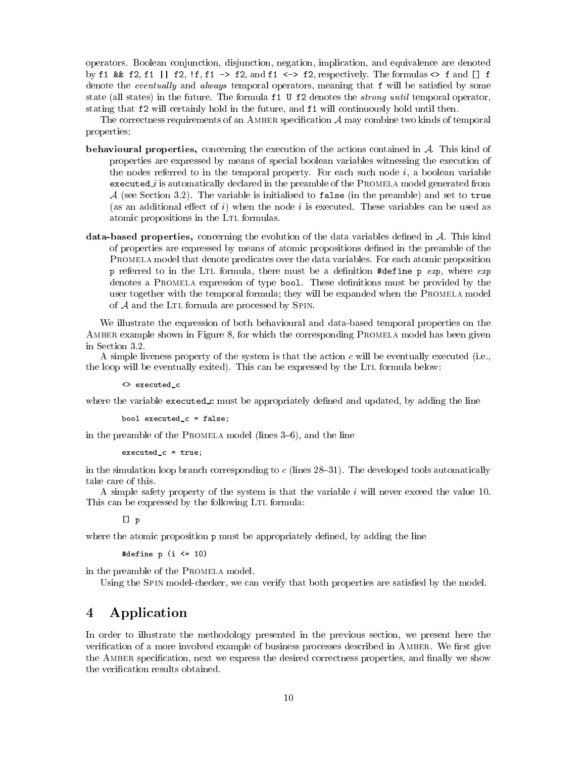operators. Boolean conjunction, disjunction, negation, implication, and equivalence are denoted by f1 && f2, f1 || f2, !f, f1 -> f2, and f1 <-> f2, respectively. The formulas <> f and  $[]$  f denote the *eventually* and *always* temporal operators, meaning that  $f$  will be satisfied by some state (all states) in the future. The formula f1 U f2 denotes the *strong until* temporal operator, stating that f2 will certainly hold in the future, and f1 will continuously hold until then.

The correctness requirements of an AMBER specification  $A$  may combine two kinds of temporal properties:

- **behavioural properties,** concerning the execution of the actions contained in  $A$ . This kind of properties are expressed by means of special boolean variables witnessing the execution of the nodes referred to in the temporal property. For each such node  $i$ , a boolean variable executed is automatically declared in the preamble of the Prominent model generated in  $\sim$  $A$  (see Section 3.2). The variable is initialised to false (in the preamble) and set to true (as an additional effect of i) when the node i is executed. These variables can be used as atomic propositions in the LTL formulas.
- data-based properties, concerning the evolution of the data variables defined in  $A$ . This kind of properties are expressed by means of atomic propositions dened in the preamble of the Promela model that denote predicates over the data variables. For each atomic proposition p referred to in the Ltl formula, there must be a denition #define <sup>p</sup> exp, where exp denotes a PROMELA expression of type bool. These definitions must be provided by the user together with the temporal formula; they will be expanded when the Promela model of  $A$  and the LTL formula are processed by SPIN.

We illustrate the expression of both behavioural and data-based temporal properties on the AMBER example shown in Figure 8, for which the corresponding PROMELA model has been given in Section 3.2.

A simple liveness property of the system is that the action  $c$  will be eventually executed (i.e., the loop will be eventually exited). This can be expressed by the LTL formula below:

<> executed\_c

where the variable executed  $\mathcal{L}c$  must be appropriately defined and updated, by adding the line

```
bool executed_c = false;
```
in the preamble of the PROMELA model (lines  $3-6$ ), and the line

```
executed_c = true;
```
in the simulation loop branch corresponding to  $c$  (lines 28-31). The developed tools automatically take care of this.

A simple safety property of the system is that the variable iwill never exceed the value 10. This can be expressed by the following LTL formula:

 $[1 p]$ 

where the atomic proposition  $\mathbf p$  must be appropriately defined, by adding the line

#define  $p$  (i  $\leq 10$ )

in the preamble of the Promela model.

Using the SPIN model-checker, we can verify that both properties are satisfied by the model.

# 4 Application

In order to illustrate the methodology presented in the previous section, we present here the verification of a more involved example of business processes described in AMBER. We first give the AMBER specification, next we express the desired correctness properties, and finally we show the verication results obtained.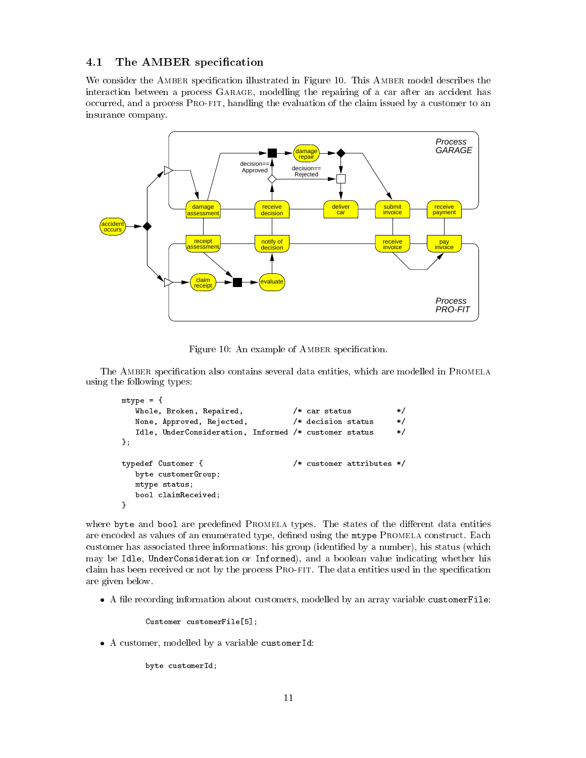### 4.1 The AMBER specification

We consider the AMBER specification illustrated in Figure 10. This AMBER model describes the interaction between a process GARAGE, modelling the repairing of a car after an accident has occurred, and a process Pro-fit, handling the evaluation of the claim issued by a customer to an insurance company.



Figure 10: An example of AMBER specification.

The AMBER specification also contains several data entities, which are modelled in PROMELA using the following types:

```
mtype = {
  Whole, Broken, Repaired, \overline{\hspace{1.6cm}} /* car status */
  None, Approved, Rejected, /* decision status */
  Idle, UnderConsideration, Informed /* customer status */
};
typedef Customer { /* customer attributes */
  byte customerGroup;
  mtype status;
  bool claimReceived;
}
```
where byte and bool are predefined PROMELA types. The states of the different data entities are encoded as values of an enumerated type, defined using the mtype PROMELA construct. Each customer has associated three informations: his group (identified by a number), his status (which may be Idle, UnderConsideration or Informed), and a boolean value indicating whether his claim has been received or not by the process PRO-FIT. The data entities used in the specification are given below.

 $\bullet$  A file recording information about customers, modelled by an array variable customerFile:

Customer customerFile[5];

 $\bullet$  A customer, modelled by a variable customerid:

byte customerId;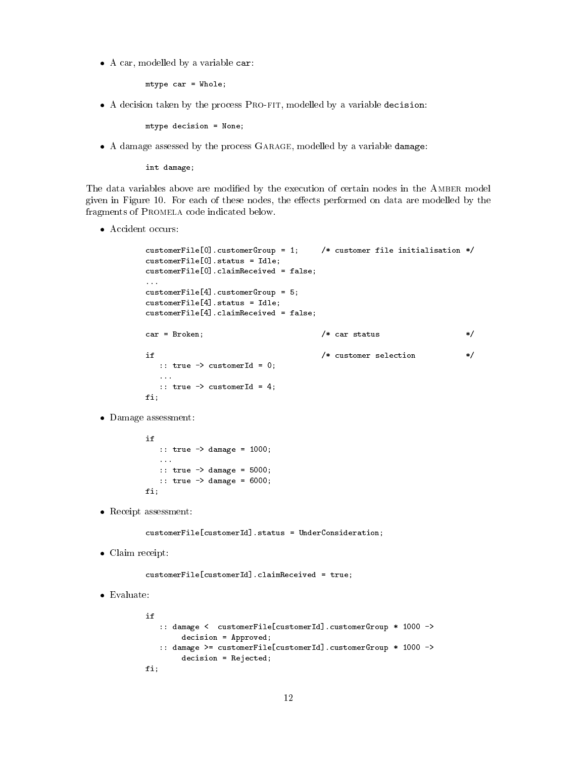$\bullet$  A car, modelled by a variable car:

mtype car = Whole;

 $\bullet$  A decision taken by the process  $\rm\,FRO\mbox{-}FT}$ , modelled by a variable decision:

mtype decision = None;

 $\bullet$  A damage assessed by the process GARAGE, modelled by a variable damage:

int damage;

The data variables above are modified by the execution of certain nodes in the AMBER model given in Figure 10. For each of these nodes, the effects performed on data are modelled by the fragments of Promela code indicated below.

• Accident occurs:

```
customerFile[0].customerGroup = 1; \qquad /* customer file initialisation */
customerFile[0].status = Idle;
customerFile[0].claimReceived = false;
\ldotscustomerFile[4].customerGroup = 5;
customerFile[4].status = Idle;
customerFile[4].claimReceived = false;
car = Broken:/* car status
                                                                        \ast/car = Broken; /* car status */ car status */ car status */ car status */ car status */ car status */ car status
if
                                       /* customer selection
                                                                        \ast/if /* customer selection */
  :: true -> customerId = 0;
  :: true -> customerId = 4;\equiv \equiv \equiv \equiv
```
Damage assessment:

```
if
   :: true -> damage = 1000;
   ...
   :: true -> damage = 5000;
   :: true -> damage = 6000;
fi;
```
 $\bullet\,$  Receipt assessment:

customerFile[customerId].status = UnderConsideration;

 $\bullet\,$  Claim receipt:

customerFile[customerId].claimReceived = true;

 $\bullet$  Evaluate:

```
if:: damage < customerFile[customerId].customerGroup * 1000 ->
        decision = Approved;
   :: damage >= customerFile[customerId].customerGroup * 1000 ->
        decision = Rejected;
fi;
```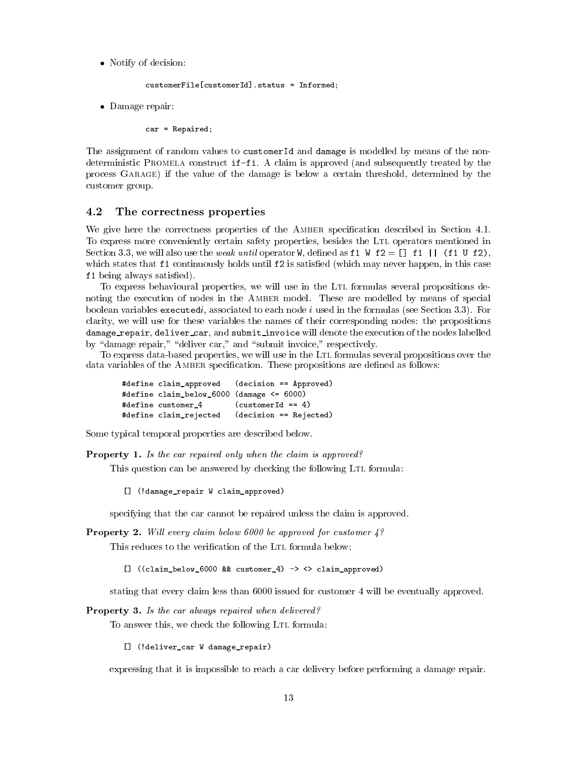Notify of decision:

```
customerFile[customerId].status = Informed;
```
 $\bullet\,$  Damage repair:

car = Repaired;

The assignment of random values to customerId and damage is modelled by means of the nondeterministic Promela construct if-fi. A claim is approved (and subsequently treated by the process Garage) if the value of the damage is below a certain threshold, determined by the customer group.

### 4.2 The correctness properties

We give here the correctness properties of the AMBER specification described in Section 4.1. To express more conveniently certain safety properties, besides the LTL operators mentioned in Section 3.3, we will also use the *weak until* operator W, defined as f1 W  $f2 = \begin{bmatrix} 1 & f1 & \end{bmatrix}$  (f1 U f2). which states that f1 continuously holds until f2 is satisfied (which may never happen, in this case f1 being always satisfied). being always satised).

To express behavioural properties, we will use in the Ltl formulas several propositions denoting the execution of nodes in the Amber model. These are modelled by means of special boolean variables executedi, associated to each node  $i$  used in the formulas (see Section 3.3). For clarity, we will use for these variables the names of their corresponding nodes: the propositions damage repair, deliver cared and submit in and submit in the execution of the execution of the nodes labelled by "damage repair," "deliver car," and "submit invoice," respectively.

To express data-based properties, we will use in the LTL formulas several propositions over the data variables of the AMBER specification. These propositions are defined as follows:

```
#define claim_approved (decision == Approved)
#define claim_below_6000 (damage <= 6000)
#define customer_4 (customerId == 4)
#define claim_rejected (decision == Rejected)
```
Some typical temporal properties are described below.

Property 1. Is the car repaired only when the claim is approved?

This question can be answered by checking the following LTL formula:

[] (!damage\_repair W claim\_approved)

specifying that the car cannot be repaired unless the claim is approved.

**Property 2.** Will every claim below 6000 be approved for customer  $4$ ?

This reduces to the verification of the LTL formula below:

[] ((claim\_below\_6000 && customer\_4) -> <> claim\_approved)

stating that every claim less than 6000 issued for customer 4 will be eventually approved.

Property 3. Is the car always repaired when delivered?

To answer this, we check the following LTL formula:

[] (!deliver\_car W damage\_repair)

expressing that it is impossible to reach a car delivery before performing a damage repair.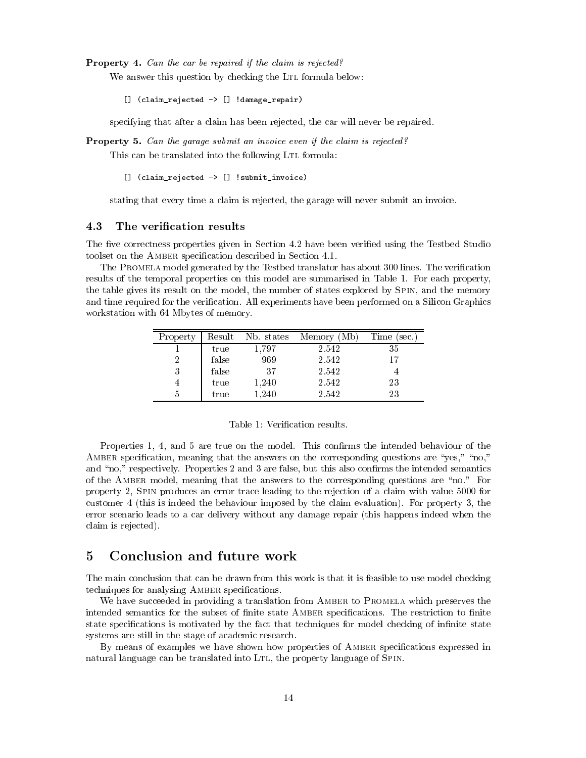Property 4. Can the car be repaired if the claim is rejected?

We answer this question by checking the LTL formula below:

[] (claim\_rejected -> [] !damage\_repair)

specifying that after a claim has been rejected, the car will never be repaired.

Property 5. Can the garage submit an invoice even if the claim is rejected?

This can be translated into the following LTL formula:

[] (claim\_rejected -> [] !submit\_invoice)

stating that every time a claim is rejected, the garage will never submit an invoice.

#### 4.3 The verification results

The five correctness properties given in Section 4.2 have been verified using the Testbed Studio toolset on the Amber specication described in Section 4.1.

The PROMELA model generated by the Testbed translator has about 300 lines. The verification results of the temporal properties on this model are summarised in Table 1. For each property, the table gives its result on the model, the number of states explored by Spin, and the memory and time required for the verification. All experiments have been performed on a Silicon Graphics workstation with 64 Mbytes of memory.

| Property | Result | Nb. states | Memory (Mb) | Time (sec.) |
|----------|--------|------------|-------------|-------------|
|          | true   | 1,797      | 2.542       | 35          |
| 2        | false  | 969        | 2.542       | 17          |
| 3        | false  | 37         | 2.542       |             |
| 4        | true   | 1,240      | 2.542       | 23          |
| b        | true   | 1.240      | 2.542       | 23          |

| Table 1: Verification results. |
|--------------------------------|
|--------------------------------|

Properties 1, 4, and 5 are true on the model. This confirms the intended behaviour of the AMBER specification, meaning that the answers on the corresponding questions are "yes," "no," and "no," respectively. Properties 2 and 3 are false, but this also confirms the intended semantics of the AMBER model, meaning that the answers to the corresponding questions are "no." For property 2, Spin produces an error trace leading to the rejection of a claim with value 5000 for customer 4 (this is indeed the behaviour imposed by the claim evaluation). For property 3, the error scenario leads to a car delivery without any damage repair (this happens indeed when the claim is rejected).

## 5

The main conclusion that can be drawn from this work is that it is feasible to use model checking techniques for analysing AMBER specifications.

We have succeeded in providing a translation from AMBER to PROMELA which preserves the intended semantics for the subset of finite state AMBER specifications. The restriction to finite state specifications is motivated by the fact that techniques for model checking of infinite state systems are still in the stage of academic research.

By means of examples we have shown how properties of AMBER specifications expressed in natural language can be translated into LTL, the property language of SPIN.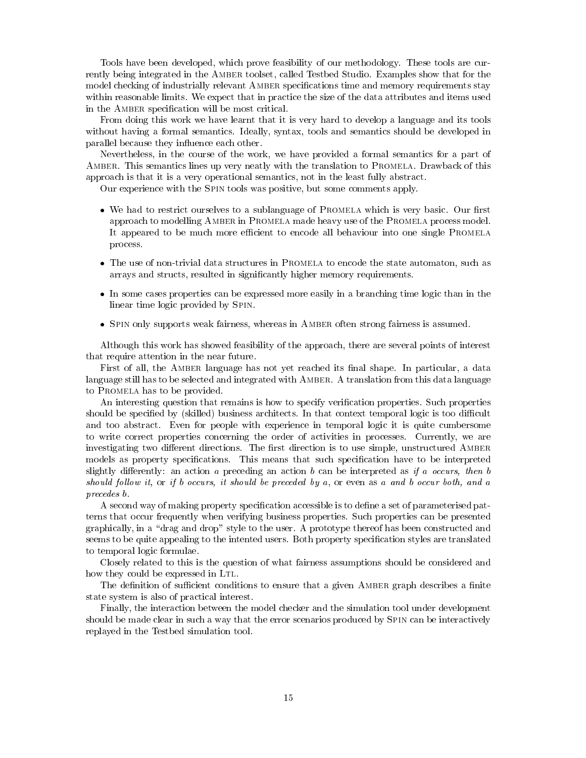Tools have been developed, which prove feasibility of our methodology. These tools are currently being integrated in the Amber toolset, called Testbed Studio. Examples show that for the model checking of industrially relevant AMBER specifications time and memory requirements stay within reasonable limits. We expect that in practice the size of the data attributes and items used in the AMBER specification will be most critical.

From doing this work we have learnt that it is very hard to develop a language and its tools without having a formal semantics. Ideally, syntax, tools and semantics should be developed in parallel because they influence each other.

Nevertheless, in the course of the work, we have provided a formal semantics for a part of Amber. This semantics lines up very neatly with the translation to Promela. Drawback of this approach is that it is a very operational semantics, not in the least fully abstract.

Our experience with the Spin tools was positive, but some comments apply.

- $\bullet$  We had to restrict ourselves to a sublanguage of PROMELA which is very basic. Our first  $\bullet$ approach to modelling Amber in Promela made heavy use of the Promela process model. It appeared to be much more efficient to encode all behaviour into one single PROMELA process.
- $\bullet$  The use of non-trivial data structures in PROMELA to encode the state automaton, such as arrays and structs, resulted in signicantly higher memory requirements.
- $\bullet$  In some cases properties can be expressed more easily in a branching time logic than in the linear time logic provided by Spin.
- $\bullet$  SPIN only supports weak fairness, whereas in AMBER often strong fairness is assumed.

Although this work has showed feasibility of the approach, there are several points of interest that require attention in the near future.

First of all, the AMBER language has not yet reached its final shape. In particular, a data language still has to be selected and integrated with Amber. A translation from this data language to Promela has to be provided.

An interesting question that remains is how to specify verification properties. Such properties should be specified by (skilled) business architects. In that context temporal logic is too difficult and too abstract. Even for people with experience in temporal logic it is quite cumbersome to write correct properties concerning the order of activities in processes. Currently, we are investigating two different directions. The first direction is to use simple, unstructured AMBER models as property specifications. This means that such specification have to be interpreted slightly differently: an action a preceding an action b can be interpreted as if a occurs, then b should follow it, or if b occurs, it should be preceded by a, or even as a and b occur both, and a precedes b.

A second way of making property specification accessible is to define a set of parameterised patterns that occur frequently when verifying business properties. Such properties can be presented graphically, in a \drag and drop" style to the user. A prototype thereof has been constructed and seems to be quite appealing to the intented users. Both property specification styles are translated to temporal logic formulae.

Closely related to this is the question of what fairness assumptions should be considered and how they could be expressed in LTL.

The definition of sufficient conditions to ensure that a given AMBER graph describes a finite state system is also of practical interest.

Finally, the interaction between the model checker and the simulation tool under development should be made clear in such a way that the error scenarios produced by SPIN can be interactively replayed in the Testbed simulation tool.